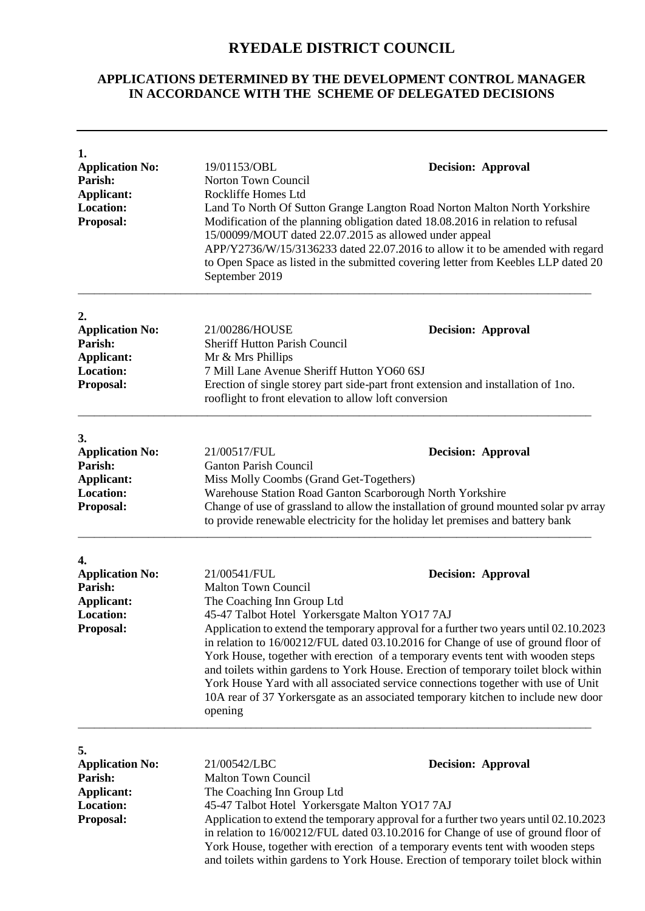## **RYEDALE DISTRICT COUNCIL**

## **APPLICATIONS DETERMINED BY THE DEVELOPMENT CONTROL MANAGER IN ACCORDANCE WITH THE SCHEME OF DELEGATED DECISIONS**

| 1.<br><b>Application No:</b><br>Parish:<br><b>Applicant:</b><br><b>Location:</b><br><b>Proposal:</b> | 19/01153/OBL<br>Norton Town Council<br>Rockliffe Homes Ltd<br>15/00099/MOUT dated 22.07.2015 as allowed under appeal<br>September 2019                                                                                                                                                                                                                                                                                                                                                                                                                                                                                                                                                               | <b>Decision: Approval</b><br>Land To North Of Sutton Grange Langton Road Norton Malton North Yorkshire<br>Modification of the planning obligation dated 18.08.2016 in relation to refusal<br>APP/Y2736/W/15/3136233 dated 22.07.2016 to allow it to be amended with regard<br>to Open Space as listed in the submitted covering letter from Keebles LLP dated 20                  |
|------------------------------------------------------------------------------------------------------|------------------------------------------------------------------------------------------------------------------------------------------------------------------------------------------------------------------------------------------------------------------------------------------------------------------------------------------------------------------------------------------------------------------------------------------------------------------------------------------------------------------------------------------------------------------------------------------------------------------------------------------------------------------------------------------------------|-----------------------------------------------------------------------------------------------------------------------------------------------------------------------------------------------------------------------------------------------------------------------------------------------------------------------------------------------------------------------------------|
| 2.<br><b>Application No:</b><br>Parish:<br><b>Applicant:</b><br><b>Location:</b><br>Proposal:        | 21/00286/HOUSE<br><b>Sheriff Hutton Parish Council</b><br>Mr & Mrs Phillips<br>7 Mill Lane Avenue Sheriff Hutton YO60 6SJ<br>rooflight to front elevation to allow loft conversion                                                                                                                                                                                                                                                                                                                                                                                                                                                                                                                   | <b>Decision: Approval</b><br>Erection of single storey part side-part front extension and installation of 1no.                                                                                                                                                                                                                                                                    |
| 3.<br><b>Application No:</b><br>Parish:<br><b>Applicant:</b><br><b>Location:</b><br><b>Proposal:</b> | 21/00517/FUL<br><b>Ganton Parish Council</b><br>Miss Molly Coombs (Grand Get-Togethers)                                                                                                                                                                                                                                                                                                                                                                                                                                                                                                                                                                                                              | <b>Decision: Approval</b><br>Warehouse Station Road Ganton Scarborough North Yorkshire<br>Change of use of grassland to allow the installation of ground mounted solar pv array<br>to provide renewable electricity for the holiday let premises and battery bank                                                                                                                 |
| 4.<br><b>Application No:</b><br>Parish:<br><b>Applicant:</b><br><b>Location:</b><br>Proposal:        | 21/00541/FUL<br><b>Decision: Approval</b><br><b>Malton Town Council</b><br>The Coaching Inn Group Ltd<br>45-47 Talbot Hotel Yorkersgate Malton YO17 7AJ<br>Application to extend the temporary approval for a further two years until 02.10.2023<br>in relation to 16/00212/FUL dated 03.10.2016 for Change of use of ground floor of<br>York House, together with erection of a temporary events tent with wooden steps<br>and toilets within gardens to York House. Erection of temporary toilet block within<br>York House Yard with all associated service connections together with use of Unit<br>10A rear of 37 Yorkersgate as an associated temporary kitchen to include new door<br>opening |                                                                                                                                                                                                                                                                                                                                                                                   |
| 5.<br><b>Application No:</b><br>Parish:<br><b>Applicant:</b><br><b>Location:</b><br><b>Proposal:</b> | 21/00542/LBC<br><b>Malton Town Council</b><br>The Coaching Inn Group Ltd<br>45-47 Talbot Hotel Yorkersgate Malton YO17 7AJ                                                                                                                                                                                                                                                                                                                                                                                                                                                                                                                                                                           | <b>Decision: Approval</b><br>Application to extend the temporary approval for a further two years until 02.10.2023<br>in relation to 16/00212/FUL dated 03.10.2016 for Change of use of ground floor of<br>York House, together with erection of a temporary events tent with wooden steps<br>and toilets within gardens to York House. Erection of temporary toilet block within |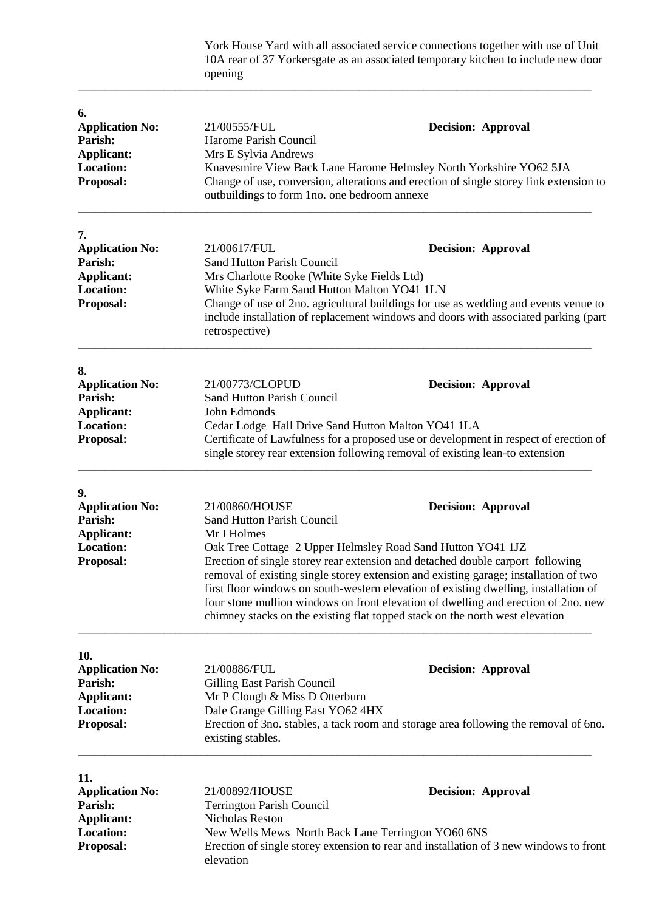York House Yard with all associated service connections together with use of Unit 10A rear of 37 Yorkersgate as an associated temporary kitchen to include new door opening

\_\_\_\_\_\_\_\_\_\_\_\_\_\_\_\_\_\_\_\_\_\_\_\_\_\_\_\_\_\_\_\_\_\_\_\_\_\_\_\_\_\_\_\_\_\_\_\_\_\_\_\_\_\_\_\_\_\_\_\_\_\_\_\_\_\_\_\_\_\_\_\_\_\_\_\_\_\_\_\_\_\_\_\_\_\_\_\_\_\_\_\_\_\_\_

| 6.<br><b>Application No:</b><br>Parish:<br><b>Applicant:</b><br><b>Location:</b><br><b>Proposal:</b>  | 21/00555/FUL<br>Harome Parish Council<br>Mrs E Sylvia Andrews<br>outbuildings to form 1no. one bedroom annexe                                              | <b>Decision: Approval</b><br>Knavesmire View Back Lane Harome Helmsley North Yorkshire YO62 5JA<br>Change of use, conversion, alterations and erection of single storey link extension to                                                                                                                                                                                                                                                                                                                                        |
|-------------------------------------------------------------------------------------------------------|------------------------------------------------------------------------------------------------------------------------------------------------------------|----------------------------------------------------------------------------------------------------------------------------------------------------------------------------------------------------------------------------------------------------------------------------------------------------------------------------------------------------------------------------------------------------------------------------------------------------------------------------------------------------------------------------------|
| 7.<br><b>Application No:</b><br>Parish:<br>Applicant:<br><b>Location:</b><br>Proposal:                | 21/00617/FUL<br>Sand Hutton Parish Council<br>Mrs Charlotte Rooke (White Syke Fields Ltd)<br>White Syke Farm Sand Hutton Malton YO41 1LN<br>retrospective) | <b>Decision: Approval</b><br>Change of use of 2no. agricultural buildings for use as wedding and events venue to<br>include installation of replacement windows and doors with associated parking (part                                                                                                                                                                                                                                                                                                                          |
| 8.<br><b>Application No:</b><br>Parish:<br><b>Applicant:</b><br><b>Location:</b><br><b>Proposal:</b>  | 21/00773/CLOPUD<br>Sand Hutton Parish Council<br>John Edmonds<br>Cedar Lodge Hall Drive Sand Hutton Malton YO41 1LA                                        | <b>Decision: Approval</b><br>Certificate of Lawfulness for a proposed use or development in respect of erection of<br>single storey rear extension following removal of existing lean-to extension                                                                                                                                                                                                                                                                                                                               |
| 9.<br><b>Application No:</b><br><b>Parish:</b><br><b>Applicant:</b><br>Location:<br><b>Proposal:</b>  | 21/00860/HOUSE<br>Sand Hutton Parish Council<br>Mr I Holmes                                                                                                | <b>Decision: Approval</b><br>Oak Tree Cottage 2 Upper Helmsley Road Sand Hutton YO41 1JZ<br>Erection of single storey rear extension and detached double carport following<br>removal of existing single storey extension and existing garage; installation of two<br>first floor windows on south-western elevation of existing dwelling, installation of<br>four stone mullion windows on front elevation of dwelling and erection of 2no. new<br>chimney stacks on the existing flat topped stack on the north west elevation |
| 10.<br><b>Application No:</b><br>Parish:<br><b>Applicant:</b><br><b>Location:</b><br><b>Proposal:</b> | 21/00886/FUL<br>Gilling East Parish Council<br>Mr P Clough & Miss D Otterburn<br>Dale Grange Gilling East YO62 4HX<br>existing stables.                    | <b>Decision: Approval</b><br>Erection of 3no. stables, a tack room and storage area following the removal of 6no.                                                                                                                                                                                                                                                                                                                                                                                                                |
| 11.<br><b>Application No:</b><br>Parish:<br><b>Applicant:</b><br><b>Location:</b><br>Proposal:        | 21/00892/HOUSE<br><b>Terrington Parish Council</b><br>Nicholas Reston<br>New Wells Mews North Back Lane Terrington YO60 6NS<br>elevation                   | <b>Decision: Approval</b><br>Erection of single storey extension to rear and installation of 3 new windows to front                                                                                                                                                                                                                                                                                                                                                                                                              |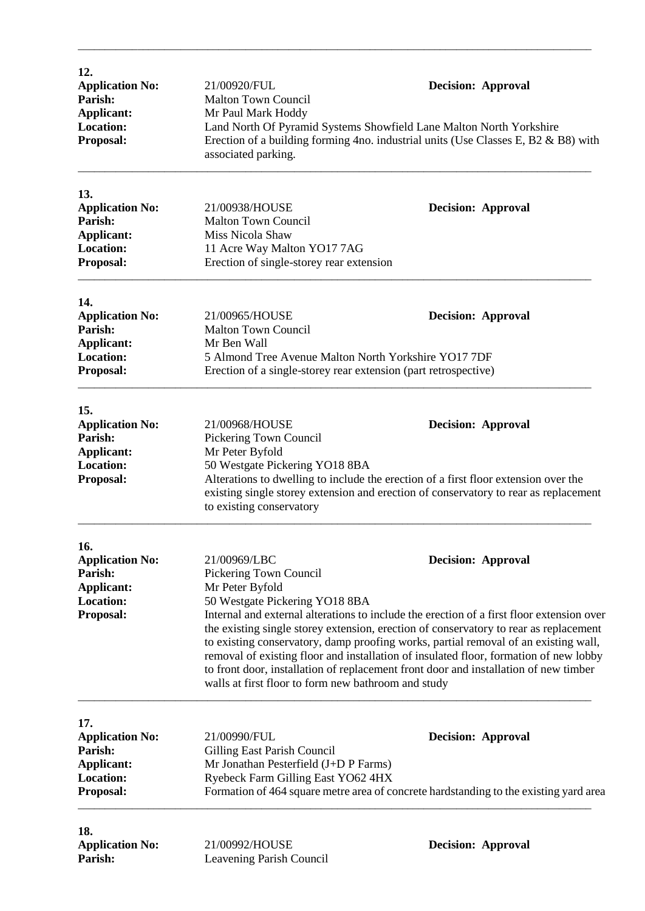| 12.<br><b>Application No:</b><br>Parish:<br>Applicant:<br><b>Location:</b><br>Proposal:        | 21/00920/FUL<br><b>Malton Town Council</b><br>Mr Paul Mark Hoddy<br>associated parking.                                                                                                                                                                                                                                                                                                                                                                                                                                                                                                                                                       | <b>Decision: Approval</b><br>Land North Of Pyramid Systems Showfield Lane Malton North Yorkshire<br>Erection of a building forming 4no. industrial units (Use Classes E, B2 & B8) with                   |
|------------------------------------------------------------------------------------------------|-----------------------------------------------------------------------------------------------------------------------------------------------------------------------------------------------------------------------------------------------------------------------------------------------------------------------------------------------------------------------------------------------------------------------------------------------------------------------------------------------------------------------------------------------------------------------------------------------------------------------------------------------|----------------------------------------------------------------------------------------------------------------------------------------------------------------------------------------------------------|
| 13.<br><b>Application No:</b><br>Parish:<br><b>Applicant:</b><br><b>Location:</b><br>Proposal: | 21/00938/HOUSE<br><b>Malton Town Council</b><br>Miss Nicola Shaw<br>11 Acre Way Malton YO17 7AG<br>Erection of single-storey rear extension                                                                                                                                                                                                                                                                                                                                                                                                                                                                                                   | <b>Decision: Approval</b>                                                                                                                                                                                |
| 14.<br><b>Application No:</b><br>Parish:<br><b>Applicant:</b><br><b>Location:</b><br>Proposal: | 21/00965/HOUSE<br><b>Malton Town Council</b><br>Mr Ben Wall<br>5 Almond Tree Avenue Malton North Yorkshire YO17 7DF<br>Erection of a single-storey rear extension (part retrospective)                                                                                                                                                                                                                                                                                                                                                                                                                                                        | <b>Decision: Approval</b>                                                                                                                                                                                |
| 15.<br><b>Application No:</b><br>Parish:<br><b>Applicant:</b><br><b>Location:</b><br>Proposal: | 21/00968/HOUSE<br>Pickering Town Council<br>Mr Peter Byfold<br>50 Westgate Pickering YO18 8BA<br>to existing conservatory                                                                                                                                                                                                                                                                                                                                                                                                                                                                                                                     | <b>Decision: Approval</b><br>Alterations to dwelling to include the erection of a first floor extension over the<br>existing single storey extension and erection of conservatory to rear as replacement |
| 16.<br><b>Application No:</b><br>Parish:<br><b>Applicant:</b><br><b>Location:</b><br>Proposal: | 21/00969/LBC<br><b>Decision: Approval</b><br>Pickering Town Council<br>Mr Peter Byfold<br>50 Westgate Pickering YO18 8BA<br>Internal and external alterations to include the erection of a first floor extension over<br>the existing single storey extension, erection of conservatory to rear as replacement<br>to existing conservatory, damp proofing works, partial removal of an existing wall,<br>removal of existing floor and installation of insulated floor, formation of new lobby<br>to front door, installation of replacement front door and installation of new timber<br>walls at first floor to form new bathroom and study |                                                                                                                                                                                                          |
| 17.<br><b>Application No:</b><br>Parish:<br><b>Applicant:</b><br><b>Location:</b><br>Proposal: | 21/00990/FUL<br>Gilling East Parish Council<br>Mr Jonathan Pesterfield (J+D P Farms)<br>Ryebeck Farm Gilling East YO62 4HX                                                                                                                                                                                                                                                                                                                                                                                                                                                                                                                    | <b>Decision: Approval</b><br>Formation of 464 square metre area of concrete hardstanding to the existing yard area                                                                                       |
| 18.<br><b>Application No:</b><br>Parish:                                                       | 21/00992/HOUSE<br>Leavening Parish Council                                                                                                                                                                                                                                                                                                                                                                                                                                                                                                                                                                                                    | <b>Decision: Approval</b>                                                                                                                                                                                |

\_\_\_\_\_\_\_\_\_\_\_\_\_\_\_\_\_\_\_\_\_\_\_\_\_\_\_\_\_\_\_\_\_\_\_\_\_\_\_\_\_\_\_\_\_\_\_\_\_\_\_\_\_\_\_\_\_\_\_\_\_\_\_\_\_\_\_\_\_\_\_\_\_\_\_\_\_\_\_\_\_\_\_\_\_\_\_\_\_\_\_\_\_\_\_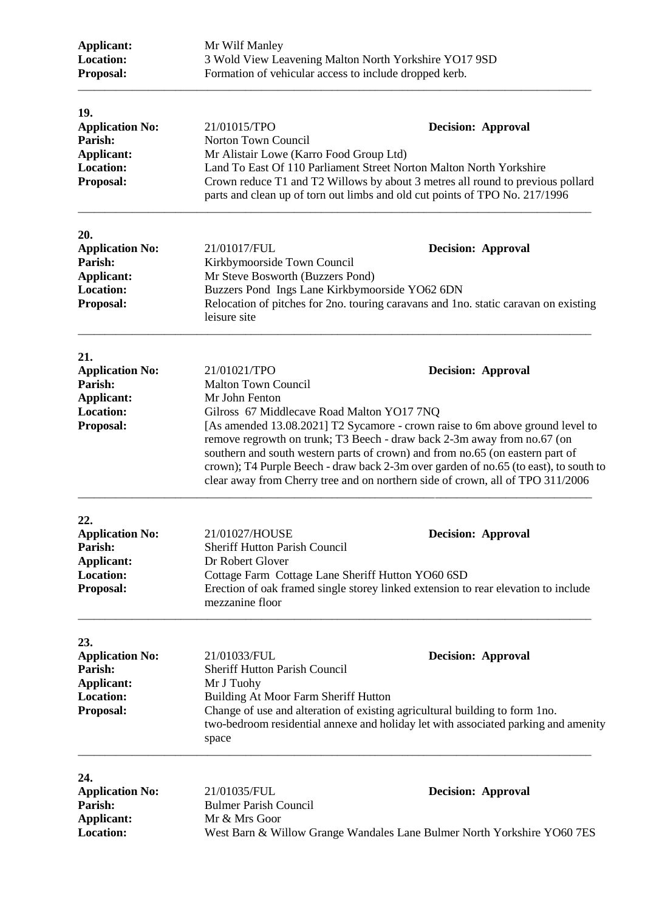| Applicant:<br><b>Location:</b><br>Proposal:                                                    | Mr Wilf Manley<br>3 Wold View Leavening Malton North Yorkshire YO17 9SD<br>Formation of vehicular access to include dropped kerb.<br>21/01015/TPO<br><b>Decision: Approval</b><br>Norton Town Council<br>Mr Alistair Lowe (Karro Food Group Ltd)<br>Land To East Of 110 Parliament Street Norton Malton North Yorkshire<br>Crown reduce T1 and T2 Willows by about 3 metres all round to previous pollard<br>parts and clean up of torn out limbs and old cut points of TPO No. 217/1996                                                                       |                                                                                                                                                                                                |
|------------------------------------------------------------------------------------------------|----------------------------------------------------------------------------------------------------------------------------------------------------------------------------------------------------------------------------------------------------------------------------------------------------------------------------------------------------------------------------------------------------------------------------------------------------------------------------------------------------------------------------------------------------------------|------------------------------------------------------------------------------------------------------------------------------------------------------------------------------------------------|
| 19.<br><b>Application No:</b><br>Parish:<br><b>Applicant:</b><br><b>Location:</b><br>Proposal: |                                                                                                                                                                                                                                                                                                                                                                                                                                                                                                                                                                |                                                                                                                                                                                                |
| 20.<br><b>Application No:</b><br>Parish:<br><b>Applicant:</b><br><b>Location:</b><br>Proposal: | 21/01017/FUL<br>Kirkbymoorside Town Council<br>Mr Steve Bosworth (Buzzers Pond)<br>Buzzers Pond Ings Lane Kirkbymoorside YO62 6DN<br>leisure site                                                                                                                                                                                                                                                                                                                                                                                                              | <b>Decision: Approval</b><br>Relocation of pitches for 2no. touring caravans and 1no. static caravan on existing                                                                               |
| 21.<br><b>Application No:</b><br>Parish:<br><b>Applicant:</b><br><b>Location:</b><br>Proposal: | 21/01021/TPO<br><b>Decision: Approval</b><br><b>Malton Town Council</b><br>Mr John Fenton<br>Gilross 67 Middlecave Road Malton YO17 7NQ<br>[As amended 13.08.2021] T2 Sycamore - crown raise to 6m above ground level to<br>remove regrowth on trunk; T3 Beech - draw back 2-3m away from no.67 (on<br>southern and south western parts of crown) and from no.65 (on eastern part of<br>crown); T4 Purple Beech - draw back 2-3m over garden of no.65 (to east), to south to<br>clear away from Cherry tree and on northern side of crown, all of TPO 311/2006 |                                                                                                                                                                                                |
| 22.<br><b>Application No:</b><br>Parish:<br><b>Applicant:</b><br><b>Location:</b><br>Proposal: | 21/01027/HOUSE<br><b>Sheriff Hutton Parish Council</b><br>Dr Robert Glover<br>Cottage Farm Cottage Lane Sheriff Hutton YO60 6SD<br>mezzanine floor                                                                                                                                                                                                                                                                                                                                                                                                             | <b>Decision: Approval</b><br>Erection of oak framed single storey linked extension to rear elevation to include                                                                                |
| 23.<br><b>Application No:</b><br>Parish:<br>Applicant:<br><b>Location:</b><br>Proposal:        | 21/01033/FUL<br><b>Sheriff Hutton Parish Council</b><br>Mr J Tuohy<br>Building At Moor Farm Sheriff Hutton<br>space                                                                                                                                                                                                                                                                                                                                                                                                                                            | <b>Decision: Approval</b><br>Change of use and alteration of existing agricultural building to form 1no.<br>two-bedroom residential annexe and holiday let with associated parking and amenity |
| 24.<br><b>Application No:</b><br>Parish:<br><b>Applicant:</b><br><b>Location:</b>              | 21/01035/FUL<br><b>Bulmer Parish Council</b><br>Mr & Mrs Goor                                                                                                                                                                                                                                                                                                                                                                                                                                                                                                  | <b>Decision: Approval</b><br>West Barn & Willow Grange Wandales Lane Bulmer North Yorkshire YO60 7ES                                                                                           |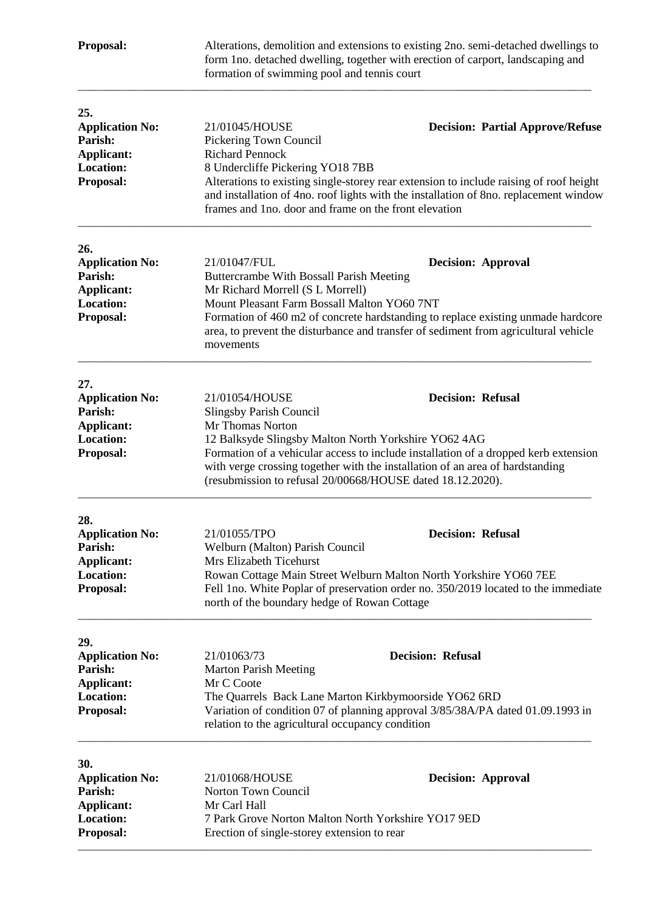| Proposal:                                                                                      | Alterations, demolition and extensions to existing 2no. semi-detached dwellings to<br>form 1no. detached dwelling, together with erection of carport, landscaping and<br>formation of swimming pool and tennis court |                                                                                                                                                                                                                            |
|------------------------------------------------------------------------------------------------|----------------------------------------------------------------------------------------------------------------------------------------------------------------------------------------------------------------------|----------------------------------------------------------------------------------------------------------------------------------------------------------------------------------------------------------------------------|
| 25.<br><b>Application No:</b><br>Parish:<br><b>Applicant:</b><br><b>Location:</b><br>Proposal: | 21/01045/HOUSE<br>Pickering Town Council<br><b>Richard Pennock</b><br>8 Undercliffe Pickering YO18 7BB<br>frames and 1no. door and frame on the front elevation                                                      | <b>Decision: Partial Approve/Refuse</b><br>Alterations to existing single-storey rear extension to include raising of roof height<br>and installation of 4no. roof lights with the installation of 8no. replacement window |
| 26.<br><b>Application No:</b><br>Parish:<br>Applicant:<br><b>Location:</b><br>Proposal:        | 21/01047/FUL<br>Buttercrambe With Bossall Parish Meeting<br>Mr Richard Morrell (S L Morrell)<br>Mount Pleasant Farm Bossall Malton YO60 7NT<br>movements                                                             | <b>Decision: Approval</b><br>Formation of 460 m2 of concrete hardstanding to replace existing unmade hardcore<br>area, to prevent the disturbance and transfer of sediment from agricultural vehicle                       |
| 27.<br><b>Application No:</b><br>Parish:<br><b>Applicant:</b><br><b>Location:</b><br>Proposal: | 21/01054/HOUSE<br><b>Slingsby Parish Council</b><br>Mr Thomas Norton<br>12 Balksyde Slingsby Malton North Yorkshire YO62 4AG<br>(resubmission to refusal 20/00668/HOUSE dated 18.12.2020).                           | <b>Decision: Refusal</b><br>Formation of a vehicular access to include installation of a dropped kerb extension<br>with verge crossing together with the installation of an area of hardstanding                           |
| 28.<br><b>Application No:</b><br>Parish:<br>Applicant:<br><b>Location:</b><br>Proposal:        | 21/01055/TPO<br>Welburn (Malton) Parish Council<br>Mrs Elizabeth Ticehurst<br>north of the boundary hedge of Rowan Cottage                                                                                           | <b>Decision: Refusal</b><br>Rowan Cottage Main Street Welburn Malton North Yorkshire YO60 7EE<br>Fell 1no. White Poplar of preservation order no. 350/2019 located to the immediate                                        |
| 29.<br><b>Application No:</b><br>Parish:<br><b>Applicant:</b><br><b>Location:</b><br>Proposal: | 21/01063/73<br><b>Marton Parish Meeting</b><br>Mr C Coote<br>The Quarrels Back Lane Marton Kirkbymoorside YO62 6RD<br>relation to the agricultural occupancy condition                                               | <b>Decision: Refusal</b><br>Variation of condition 07 of planning approval 3/85/38A/PA dated 01.09.1993 in                                                                                                                 |
| 30.<br><b>Application No:</b><br>Parish:<br>Applicant:<br><b>Location:</b><br>Proposal:        | 21/01068/HOUSE<br>Norton Town Council<br>Mr Carl Hall<br>7 Park Grove Norton Malton North Yorkshire YO17 9ED<br>Erection of single-storey extension to rear                                                          | <b>Decision: Approval</b>                                                                                                                                                                                                  |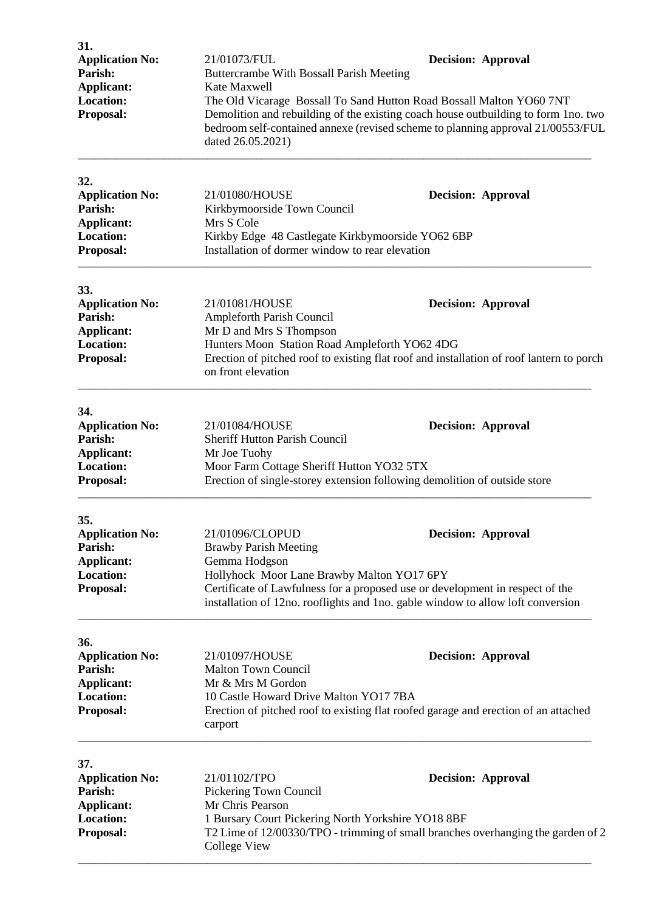| 31.<br><b>Application No:</b><br>Parish:<br><b>Applicant:</b> | 21/01073/FUL<br>Buttercrambe With Bossall Parish Meeting<br>Kate Maxwell                                                                                                                                                                                           | <b>Decision: Approval</b> |  |
|---------------------------------------------------------------|--------------------------------------------------------------------------------------------------------------------------------------------------------------------------------------------------------------------------------------------------------------------|---------------------------|--|
| <b>Location:</b><br>Proposal:                                 | The Old Vicarage Bossall To Sand Hutton Road Bossall Malton YO60 7NT<br>Demolition and rebuilding of the existing coach house outbuilding to form 1no. two<br>bedroom self-contained annexe (revised scheme to planning approval 21/00553/FUL<br>dated 26.05.2021) |                           |  |
| 32.<br><b>Application No:</b><br>Parish:<br><b>Applicant:</b> | 21/01080/HOUSE<br>Kirkbymoorside Town Council<br>Mrs S Cole                                                                                                                                                                                                        | <b>Decision: Approval</b> |  |
| <b>Location:</b><br>Proposal:                                 | Kirkby Edge 48 Castlegate Kirkbymoorside YO62 6BP<br>Installation of dormer window to rear elevation                                                                                                                                                               |                           |  |
| 33.                                                           |                                                                                                                                                                                                                                                                    |                           |  |
| <b>Application No:</b><br>Parish:                             | 21/01081/HOUSE<br>Ampleforth Parish Council                                                                                                                                                                                                                        | <b>Decision: Approval</b> |  |
| <b>Applicant:</b>                                             | Mr D and Mrs S Thompson                                                                                                                                                                                                                                            |                           |  |
| <b>Location:</b><br>Proposal:                                 | Hunters Moon Station Road Ampleforth YO62 4DG                                                                                                                                                                                                                      |                           |  |
|                                                               | Erection of pitched roof to existing flat roof and installation of roof lantern to porch<br>on front elevation                                                                                                                                                     |                           |  |
| 34.                                                           |                                                                                                                                                                                                                                                                    |                           |  |
| <b>Application No:</b><br>Parish:                             | 21/01084/HOUSE                                                                                                                                                                                                                                                     | <b>Decision: Approval</b> |  |
| <b>Applicant:</b>                                             | <b>Sheriff Hutton Parish Council</b><br>Mr Joe Tuohy                                                                                                                                                                                                               |                           |  |
| <b>Location:</b>                                              | Moor Farm Cottage Sheriff Hutton YO32 5TX                                                                                                                                                                                                                          |                           |  |
| Proposal:                                                     | Erection of single-storey extension following demolition of outside store                                                                                                                                                                                          |                           |  |
| 35.                                                           |                                                                                                                                                                                                                                                                    |                           |  |
| <b>Application No:</b><br>Parish:                             | 21/01096/CLOPUD<br><b>Brawby Parish Meeting</b>                                                                                                                                                                                                                    | <b>Decision: Approval</b> |  |
| Applicant:                                                    | Gemma Hodgson                                                                                                                                                                                                                                                      |                           |  |
| Location:<br>Proposal:                                        | Hollyhock Moor Lane Brawby Malton YO17 6PY                                                                                                                                                                                                                         |                           |  |
|                                                               | Certificate of Lawfulness for a proposed use or development in respect of the<br>installation of 12no. rooflights and 1no. gable window to allow loft conversion                                                                                                   |                           |  |
| 36.                                                           |                                                                                                                                                                                                                                                                    |                           |  |
| <b>Application No:</b>                                        | 21/01097/HOUSE                                                                                                                                                                                                                                                     | <b>Decision: Approval</b> |  |
| Parish:<br><b>Applicant:</b>                                  | <b>Malton Town Council</b><br>Mr & Mrs M Gordon                                                                                                                                                                                                                    |                           |  |
| <b>Location:</b>                                              | 10 Castle Howard Drive Malton YO17 7BA                                                                                                                                                                                                                             |                           |  |
| Proposal:                                                     | Erection of pitched roof to existing flat roofed garage and erection of an attached<br>carport                                                                                                                                                                     |                           |  |
| 37.                                                           |                                                                                                                                                                                                                                                                    |                           |  |
| <b>Application No:</b><br>Parish:                             | 21/01102/TPO                                                                                                                                                                                                                                                       | <b>Decision: Approval</b> |  |
| <b>Applicant:</b>                                             | Pickering Town Council<br>Mr Chris Pearson                                                                                                                                                                                                                         |                           |  |
| <b>Location:</b>                                              | 1 Bursary Court Pickering North Yorkshire YO18 8BF                                                                                                                                                                                                                 |                           |  |
| Proposal:                                                     | T2 Lime of 12/00330/TPO - trimming of small branches overhanging the garden of 2<br><b>College View</b>                                                                                                                                                            |                           |  |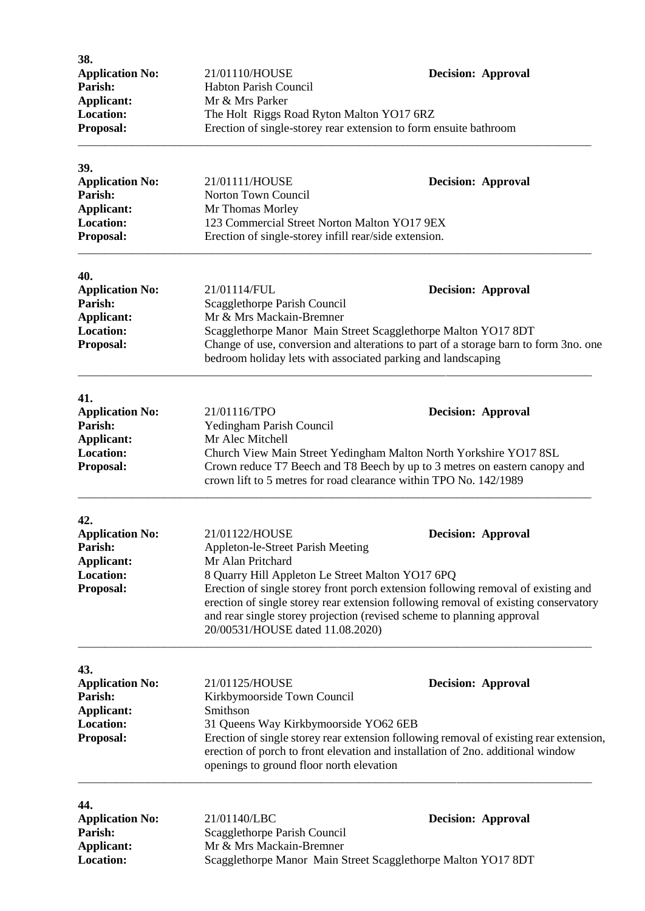| 38.<br><b>Application No:</b> | 21/01110/HOUSE                                                                                                              | <b>Decision: Approval</b>                                                              |  |
|-------------------------------|-----------------------------------------------------------------------------------------------------------------------------|----------------------------------------------------------------------------------------|--|
| Parish:                       | Habton Parish Council                                                                                                       |                                                                                        |  |
| <b>Applicant:</b>             | Mr & Mrs Parker                                                                                                             |                                                                                        |  |
| <b>Location:</b>              | The Holt Riggs Road Ryton Malton YO17 6RZ                                                                                   |                                                                                        |  |
| Proposal:                     | Erection of single-storey rear extension to form ensuite bathroom                                                           |                                                                                        |  |
| 39.                           |                                                                                                                             |                                                                                        |  |
| <b>Application No:</b>        | 21/01111/HOUSE                                                                                                              | <b>Decision: Approval</b>                                                              |  |
| Parish:                       | Norton Town Council                                                                                                         |                                                                                        |  |
| Applicant:                    | Mr Thomas Morley                                                                                                            |                                                                                        |  |
| <b>Location:</b>              | 123 Commercial Street Norton Malton YO17 9EX                                                                                |                                                                                        |  |
| Proposal:                     | Erection of single-storey infill rear/side extension.                                                                       |                                                                                        |  |
| 40.                           |                                                                                                                             |                                                                                        |  |
| <b>Application No:</b>        | 21/01114/FUL                                                                                                                | <b>Decision: Approval</b>                                                              |  |
| Parish:                       | Scagglethorpe Parish Council                                                                                                |                                                                                        |  |
| <b>Applicant:</b>             | Mr & Mrs Mackain-Bremner                                                                                                    |                                                                                        |  |
| <b>Location:</b>              |                                                                                                                             | Scagglethorpe Manor Main Street Scagglethorpe Malton YO17 8DT                          |  |
| Proposal:                     |                                                                                                                             | Change of use, conversion and alterations to part of a storage barn to form 3no. one   |  |
|                               | bedroom holiday lets with associated parking and landscaping                                                                |                                                                                        |  |
| 41.                           |                                                                                                                             |                                                                                        |  |
| <b>Application No:</b>        | 21/01116/TPO                                                                                                                | <b>Decision: Approval</b>                                                              |  |
| Parish:                       | Yedingham Parish Council                                                                                                    |                                                                                        |  |
| Applicant:                    | Mr Alec Mitchell                                                                                                            |                                                                                        |  |
| <b>Location:</b>              | Church View Main Street Yedingham Malton North Yorkshire YO17 8SL                                                           |                                                                                        |  |
| Proposal:                     |                                                                                                                             | Crown reduce T7 Beech and T8 Beech by up to 3 metres on eastern canopy and             |  |
|                               | crown lift to 5 metres for road clearance within TPO No. 142/1989                                                           |                                                                                        |  |
| 42.                           |                                                                                                                             |                                                                                        |  |
| <b>Application No:</b>        | 21/01122/HOUSE                                                                                                              | <b>Decision: Approval</b>                                                              |  |
| Parish:                       | Appleton-le-Street Parish Meeting                                                                                           |                                                                                        |  |
| <b>Applicant:</b>             | Mr Alan Pritchard                                                                                                           |                                                                                        |  |
| <b>Location:</b>              | 8 Quarry Hill Appleton Le Street Malton YO17 6PQ                                                                            |                                                                                        |  |
| Proposal:                     |                                                                                                                             | Erection of single storey front porch extension following removal of existing and      |  |
|                               | erection of single storey rear extension following removal of existing conservatory                                         |                                                                                        |  |
|                               | and rear single storey projection (revised scheme to planning approval<br>20/00531/HOUSE dated 11.08.2020)                  |                                                                                        |  |
| 43.                           |                                                                                                                             |                                                                                        |  |
| <b>Application No:</b>        | 21/01125/HOUSE                                                                                                              | <b>Decision: Approval</b>                                                              |  |
| Parish:                       | Kirkbymoorside Town Council                                                                                                 |                                                                                        |  |
| Applicant:                    | Smithson                                                                                                                    |                                                                                        |  |
| <b>Location:</b>              | 31 Queens Way Kirkbymoorside YO62 6EB                                                                                       |                                                                                        |  |
| Proposal:                     |                                                                                                                             | Erection of single storey rear extension following removal of existing rear extension, |  |
|                               | erection of porch to front elevation and installation of 2no. additional window<br>openings to ground floor north elevation |                                                                                        |  |
|                               |                                                                                                                             |                                                                                        |  |
| 44.<br><b>Application No:</b> | 21/01140/LBC                                                                                                                | <b>Decision: Approval</b>                                                              |  |
| Parish:                       | Scagglethorpe Parish Council                                                                                                |                                                                                        |  |
| Applicant:                    | Mr & Mrs Mackain-Bremner                                                                                                    |                                                                                        |  |
| Location:                     | Scagglethorpe Manor Main Street Scagglethorpe Malton YO17 8DT                                                               |                                                                                        |  |
|                               |                                                                                                                             |                                                                                        |  |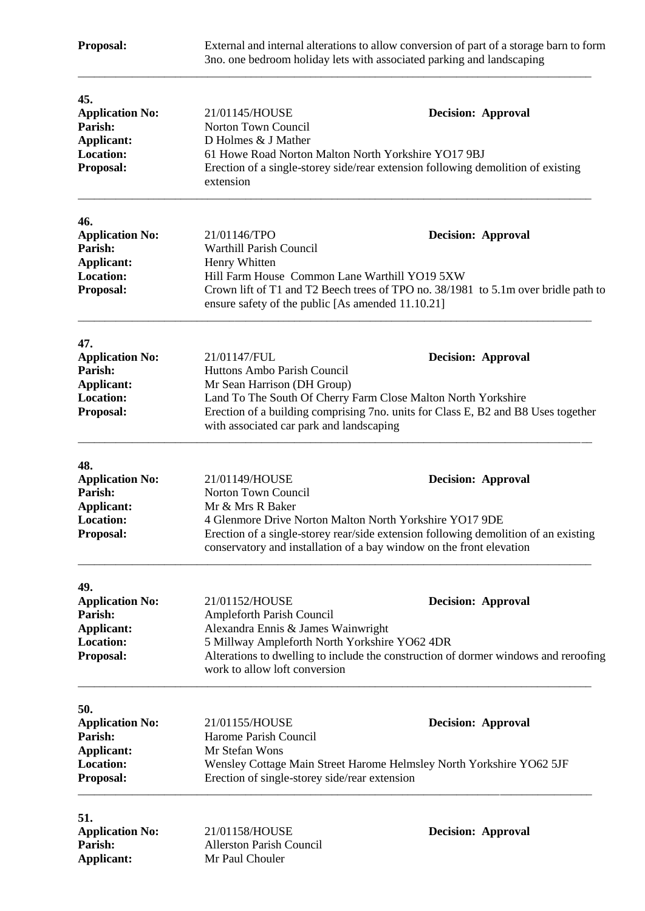| Proposal:                                                                                      | External and internal alterations to allow conversion of part of a storage barn to form<br>3no. one bedroom holiday lets with associated parking and landscaping           |                                                                                                                                                                                          |
|------------------------------------------------------------------------------------------------|----------------------------------------------------------------------------------------------------------------------------------------------------------------------------|------------------------------------------------------------------------------------------------------------------------------------------------------------------------------------------|
| 45.<br><b>Application No:</b><br>Parish:<br>Applicant:<br><b>Location:</b><br>Proposal:        | 21/01145/HOUSE<br>Norton Town Council<br>D Holmes & J Mather<br>61 Howe Road Norton Malton North Yorkshire YO17 9BJ                                                        | <b>Decision: Approval</b><br>Erection of a single-storey side/rear extension following demolition of existing                                                                            |
|                                                                                                | extension                                                                                                                                                                  |                                                                                                                                                                                          |
| 46.<br><b>Application No:</b><br>Parish:<br><b>Applicant:</b><br><b>Location:</b><br>Proposal: | 21/01146/TPO<br><b>Warthill Parish Council</b><br>Henry Whitten<br>Hill Farm House Common Lane Warthill YO19 5XW                                                           | <b>Decision: Approval</b><br>Crown lift of T1 and T2 Beech trees of TPO no. 38/1981 to 5.1m over bridle path to                                                                          |
|                                                                                                | ensure safety of the public [As amended 11.10.21]                                                                                                                          |                                                                                                                                                                                          |
| 47.<br><b>Application No:</b><br>Parish:<br>Applicant:<br><b>Location:</b><br>Proposal:        | 21/01147/FUL<br>Huttons Ambo Parish Council<br>Mr Sean Harrison (DH Group)<br>with associated car park and landscaping                                                     | <b>Decision: Approval</b><br>Land To The South Of Cherry Farm Close Malton North Yorkshire<br>Erection of a building comprising 7no. units for Class E, B2 and B8 Uses together          |
| 48.<br><b>Application No:</b><br>Parish:<br><b>Applicant:</b><br><b>Location:</b><br>Proposal: | 21/01149/HOUSE<br>Norton Town Council<br>Mr & Mrs R Baker<br>4 Glenmore Drive Norton Malton North Yorkshire YO17 9DE                                                       | <b>Decision: Approval</b><br>Erection of a single-storey rear/side extension following demolition of an existing<br>conservatory and installation of a bay window on the front elevation |
| 49.<br><b>Application No:</b><br>Parish:<br>Applicant:<br><b>Location:</b><br>Proposal:        | 21/01152/HOUSE<br><b>Ampleforth Parish Council</b><br>Alexandra Ennis & James Wainwright<br>5 Millway Ampleforth North Yorkshire YO62 4DR<br>work to allow loft conversion | <b>Decision: Approval</b><br>Alterations to dwelling to include the construction of dormer windows and reroofing                                                                         |
| 50.<br><b>Application No:</b><br>Parish:<br><b>Applicant:</b><br><b>Location:</b><br>Proposal: | 21/01155/HOUSE<br>Harome Parish Council<br>Mr Stefan Wons<br>Erection of single-storey side/rear extension                                                                 | <b>Decision: Approval</b><br>Wensley Cottage Main Street Harome Helmsley North Yorkshire YO62 5JF                                                                                        |
| 51.<br><b>Application No:</b><br>Parish:<br>Applicant:                                         | 21/01158/HOUSE<br><b>Allerston Parish Council</b><br>Mr Paul Chouler                                                                                                       | <b>Decision: Approval</b>                                                                                                                                                                |